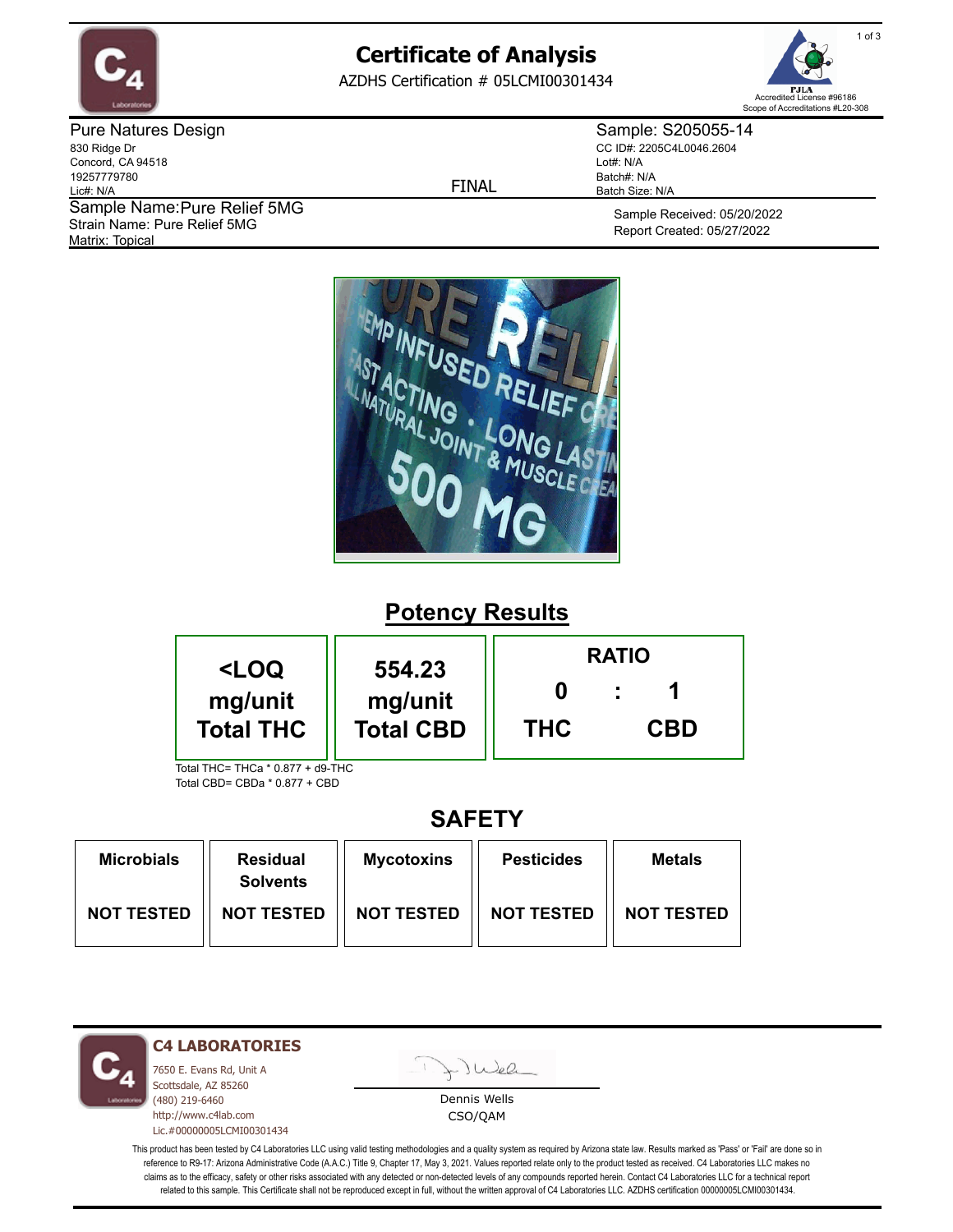

## **Certificate of Analysis**

AZDHS Certification # 05LCMI00301434



Pure Natures Design 830 Ridge Dr Concord, CA 94518 19257779780 Lic#: N/A Matrix: Topical Sample Name: Pure Relief 5MG Strain Name: Pure Relief 5MG

FINAL

Sample: S205055-14 CC ID#: 2205C4L0046.2604 Lot#: N/A Batch#: N/A Batch Size: N/A

> Sample Received: 05/20/2022 Report Created: 05/27/2022



# **Potency Results**

| <loq< th=""><th rowspan="2">554.23<br/>mg/unit<br/><b>Total CBD</b></th><th colspan="3"><b>RATIO</b></th></loq<> | 554.23<br>mg/unit<br><b>Total CBD</b> | <b>RATIO</b> |            |  |
|------------------------------------------------------------------------------------------------------------------|---------------------------------------|--------------|------------|--|
| mg/unit<br><b>Total THC</b>                                                                                      |                                       | <b>THC</b>   | <b>CBD</b> |  |
| Total THC= THCa * 0.877 + d9-THC                                                                                 |                                       |              |            |  |

Total CBD= CBDa \* 0.877 + CBD

## **SAFETY**

| <b>Microbials</b> | <b>Residual</b><br><b>Solvents</b> | <b>Mycotoxins</b> | <b>Pesticides</b> | Metals            |
|-------------------|------------------------------------|-------------------|-------------------|-------------------|
| <b>NOT TESTED</b> | <b>NOT TESTED</b>                  | <b>NOT TESTED</b> | <b>NOT TESTED</b> | <b>NOT TESTED</b> |



**C4 LABORATORIES**

7650 E. Evans Rd, Unit A Scottsdale, AZ 85260 (480) 219-6460 http://www.c4lab.com Lic.#00000005LCMI00301434 Juea

Dennis Wells CSO/QAM

This product has been tested by C4 Laboratories LLC using valid testing methodologies and a quality system as required by Arizona state law. Results marked as 'Pass' or 'Fail' are done so in reference to R9-17: Arizona Administrative Code (A.A.C.) Title 9, Chapter 17, May 3, 2021. Values reported relate only to the product tested as received. C4 Laboratories LLC makes no claims as to the efficacy, safety or other risks associated with any detected or non-detected levels of any compounds reported herein. Contact C4 Laboratories LLC for a technical report related to this sample. This Certificate shall not be reproduced except in full, without the written approval of C4 Laboratories LLC. AZDHS certification 00000005LCMI00301434.

1 of 3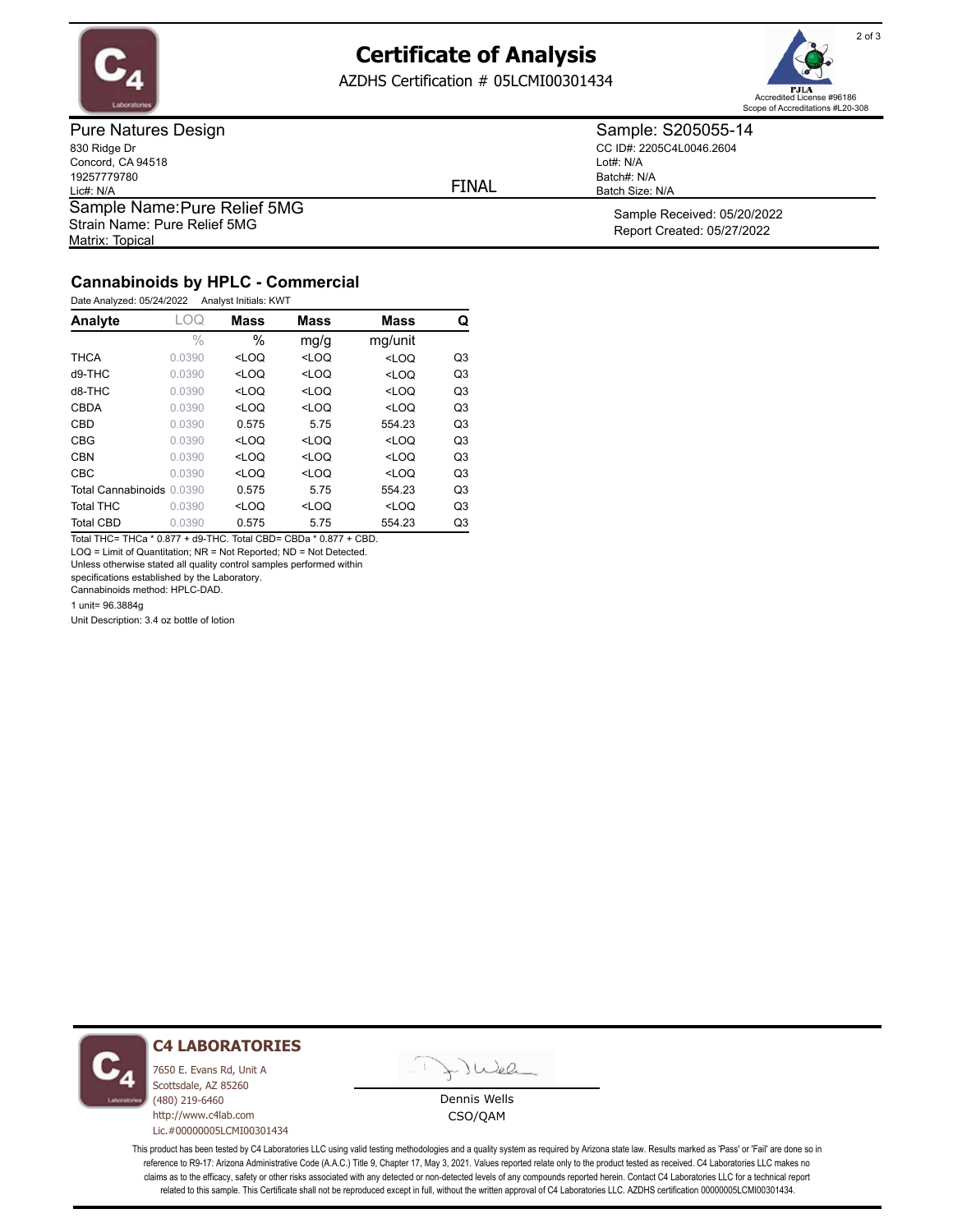

### **Certificate of Analysis**

AZDHS Certification # 05LCMI00301434



Pure Natures Design 830 Ridge Dr Concord, CA 94518 19257779780 Lic#: N/A Matrix: Topical Sample Name: Pure Relief 5MG Strain Name: Pure Relief 5MG

FINAL

CC ID#: 2205C4L0046.2604 Lot#: N/A Batch#: N/A

Batch Size: N/A

Sample: S205055-14

Sample Received: 05/20/2022 Report Created: 05/27/2022

### **Cannabinoids by HPLC - Commercial**

Date Analyzed: 05/24/2022 Analyst Initials: KWT

| Analyte                   | -OQ           | <b>Mass</b>                                                                                       | <b>Mass</b>                                                           | <b>Mass</b>                               | Q              |
|---------------------------|---------------|---------------------------------------------------------------------------------------------------|-----------------------------------------------------------------------|-------------------------------------------|----------------|
|                           | $\frac{0}{0}$ | $\%$                                                                                              | mg/g                                                                  | mg/unit                                   |                |
| <b>THCA</b>               | 0.0390        | $<$ LOQ                                                                                           | $<$ LOQ                                                               | $<$ LOQ                                   | Q <sub>3</sub> |
| $d9-THC$                  | 0.0390        | <loq< td=""><td><loq< td=""><td><loq< td=""><td>Q<sub>3</sub></td></loq<></td></loq<></td></loq<> | <loq< td=""><td><loq< td=""><td>Q<sub>3</sub></td></loq<></td></loq<> | <loq< td=""><td>Q<sub>3</sub></td></loq<> | Q <sub>3</sub> |
| $d8-THC$                  | 0.0390        | $<$ LOQ                                                                                           | $<$ LOQ                                                               | $<$ LOQ                                   | Q <sub>3</sub> |
| <b>CBDA</b>               | 0.0390        | $<$ LOQ                                                                                           | $<$ LOQ                                                               | $<$ LOQ                                   | Q <sub>3</sub> |
| CBD                       | 0.0390        | 0.575                                                                                             | 5.75                                                                  | 554.23                                    | Q <sub>3</sub> |
| <b>CBG</b>                | 0.0390        | $<$ LOQ                                                                                           | $<$ LOQ                                                               | $<$ LOQ                                   | Q <sub>3</sub> |
| <b>CBN</b>                | 0.0390        | $<$ LOO                                                                                           | $<$ LOQ                                                               | $<$ LOQ                                   | Q <sub>3</sub> |
| <b>CBC</b>                | 0.0390        | $<$ LOQ                                                                                           | $<$ LOQ                                                               | $<$ LOQ                                   | Q <sub>3</sub> |
| Total Cannabinoids 0.0390 |               | 0.575                                                                                             | 5.75                                                                  | 554.23                                    | Q <sub>3</sub> |
| <b>Total THC</b>          | 0.0390        | $<$ LOQ                                                                                           | $<$ LOQ                                                               | $<$ LOQ                                   | Q <sub>3</sub> |
| <b>Total CBD</b>          | 0.0390        | 0.575                                                                                             | 5.75                                                                  | 554.23                                    | Q3             |

Total THC= THCa \* 0.877 + d9-THC. Total CBD= CBDa \* 0.877 + CBD. LOQ = Limit of Quantitation; NR = Not Reported; ND = Not Detected.

Unless otherwise stated all quality control samples performed within

specifications established by the Laboratory. Cannabinoids method: HPLC-DAD.

1 unit= 96.3884g

Unit Description: 3.4 oz bottle of lotion



#### **C4 LABORATORIES**

7650 E. Evans Rd, Unit A Scottsdale, AZ 85260 (480) 219-6460 http://www.c4lab.com Lic.#00000005LCMI00301434



Dennis Wells CSO/QAM

This product has been tested by C4 Laboratories LLC using valid testing methodologies and a quality system as required by Arizona state law. Results marked as 'Pass' or 'Fail' are done so in reference to R9-17: Arizona Administrative Code (A.A.C.) Title 9, Chapter 17, May 3, 2021. Values reported relate only to the product tested as received. C4 Laboratories LLC makes no claims as to the efficacy, safety or other risks associated with any detected or non-detected levels of any compounds reported herein. Contact C4 Laboratories LLC for a technical report related to this sample. This Certificate shall not be reproduced except in full, without the written approval of C4 Laboratories LLC. AZDHS certification 00000005LCMI00301434.